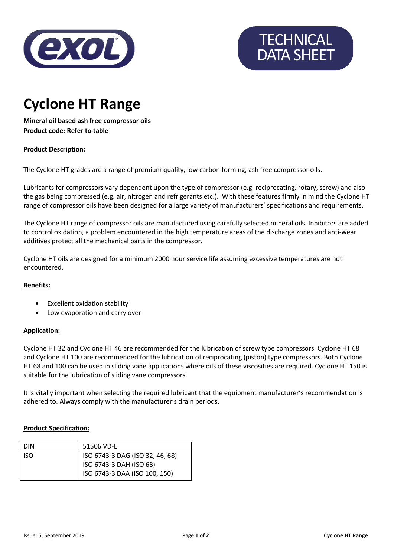

# **TECHNICAL** DATA SHEET

# **Cyclone HT Range**

**Mineral oil based ash free compressor oils Product code: Refer to table**

## **Product Description:**

The Cyclone HT grades are a range of premium quality, low carbon forming, ash free compressor oils.

Lubricants for compressors vary dependent upon the type of compressor (e.g. reciprocating, rotary, screw) and also the gas being compressed (e.g. air, nitrogen and refrigerants etc.). With these features firmly in mind the Cyclone HT range of compressor oils have been designed for a large variety of manufacturers' specifications and requirements.

The Cyclone HT range of compressor oils are manufactured using carefully selected mineral oils. Inhibitors are added to control oxidation, a problem encountered in the high temperature areas of the discharge zones and anti-wear additives protect all the mechanical parts in the compressor.

Cyclone HT oils are designed for a minimum 2000 hour service life assuming excessive temperatures are not encountered.

#### **Benefits:**

- **Excellent oxidation stability**
- Low evaporation and carry over

#### **Application:**

Cyclone HT 32 and Cyclone HT 46 are recommended for the lubrication of screw type compressors. Cyclone HT 68 and Cyclone HT 100 are recommended for the lubrication of reciprocating (piston) type compressors. Both Cyclone HT 68 and 100 can be used in sliding vane applications where oils of these viscosities are required. Cyclone HT 150 is suitable for the lubrication of sliding vane compressors.

It is vitally important when selecting the required lubricant that the equipment manufacturer's recommendation is adhered to. Always comply with the manufacturer's drain periods.

# **Product Specification:**

| <b>DIN</b> | 51506 VD-L                      |
|------------|---------------------------------|
| ISO        | ISO 6743-3 DAG (ISO 32, 46, 68) |
|            | ISO 6743-3 DAH (ISO 68)         |
|            | ISO 6743-3 DAA (ISO 100, 150)   |